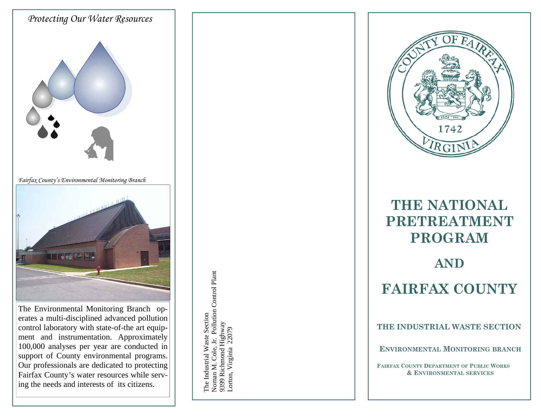

Our professionals are dedicated to protecting Fairfax County's water resources while serving the needs and interests of its citizens.

lustrial  $\geq$ aste Section No m an M. C 'ole, Jr. Pollution C **bontrol** Plant 93 99 R i c h m o nd H i g h w ay Lorton, V irginia 22079



# **THE NATIONAL PRETREATMENT PROGRAM**

# **AND FAIRFAX COUNTY**

**THE INDUSTRIAL WASTE SECTION** 

**ENVIRONMENTAL MONITORING BRANCH** 

**FAIRFAX COUNTY DEPARTMENT OF PUBLIC WORKS & ENVIRONMENTAL SERVICES**